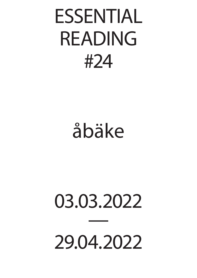## ESSENTIAL READING #24

## åbäke

## 03.03.2022 29.04.2022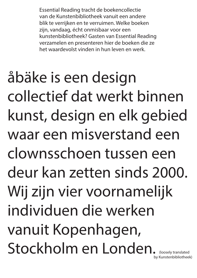Essential Reading tracht de boekencollectie van de Kunstenbibliotheek vanuit een andere blik te verrijken en te verruimen. Welke boeken zijn, vandaag, écht onmisbaar voor een kunstenbibliotheek? Gasten van Essential Reading verzamelen en presenteren hier de boeken die ze het waardevolst vinden in hun leven en werk.

åbäke is een design collectief dat werkt binnen kunst, design en elk gebied waar een misverstand een clownsschoen tussen een deur kan zetten sinds 2000. Wij zijn vier voornamelijk individuen die werken vanuit Kopenhagen, Stockholm en Londen. (loosely translated by Kunstenbibliotheek)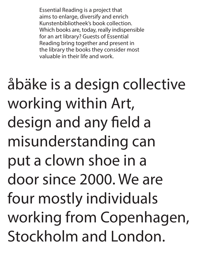Essential Reading is a project that aims to enlarge, diversify and enrich Kunstenbibliotheek's book collection. Which books are, today, really indispensible for an art library? Guests of Essential Reading bring together and present in the library the books they consider most valuable in their life and work.

åbäke is a design collective working within Art, design and any field a misunderstanding can put a clown shoe in a door since 2000. We are four mostly individuals working from Copenhagen, Stockholm and London.